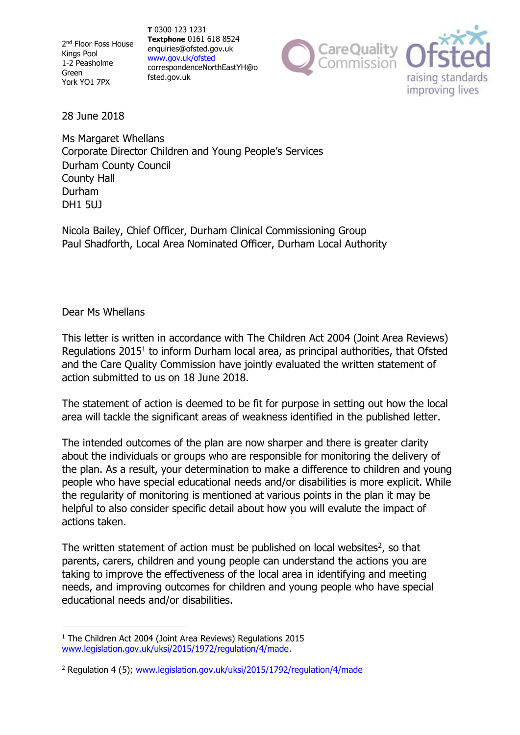2<sup>nd</sup> Floor Foss House Kings Pool 1-2 Peasholme Green York YO1 7PX

**T** 0300 123 1231 **Textphone** 0161 618 8524 [enquiries@ofsted.gov.uk](mailto:enquiries@ofsted.gov.uk) [www.gov.uk/ofsted](http://www.gov.uk/ofsted) [correspondenceNorthEastYH@o](mailto:correspondenceNorthEastYH@ofsted.gov.uk) fsted.gov.uk



28 June 2018

Ms Margaret Whellans Corporate Director Children and Young People's Services Durham County Council County Hall Durham DH1 5UJ

Nicola Bailey, Chief Officer, Durham Clinical Commissioning Group Paul Shadforth, Local Area Nominated Officer, Durham Local Authority

## Dear Ms Whellans

This letter is written in accordance with The Children Act 2004 (Joint Area Reviews) Regulations  $2015<sup>1</sup>$  to inform Durham local area, as principal authorities, that Ofsted and the Care Quality Commission have jointly evaluated the written statement of action submitted to us on 18 June 2018.

The statement of action is deemed to be fit for purpose in setting out how the local area will tackle the significant areas of weakness identified in the published letter.

The intended outcomes of the plan are now sharper and there is greater clarity about the individuals or groups who are responsible for monitoring the delivery of the plan. As a result, your determination to make a difference to children and young people who have special educational needs and/or disabilities is more explicit. While the regularity of monitoring is mentioned at various points in the plan it may be helpful to also consider specific detail about how you will evalute the impact of actions taken.

The written statement of action must be published on local websites $2$ , so that parents, carers, children and young people can understand the actions you are taking to improve the effectiveness of the local area in identifying and meeting needs, and improving outcomes for children and young people who have special educational needs and/or disabilities.

<sup>&</sup>lt;sup>1</sup> The Children Act 2004 (Joint Area Reviews) Regulations 2015 [www.legislation.gov.uk/uksi/2015/1972/regulation/4/made.](http://www.legislation.gov.uk/uksi/2015/1972/regulation/4/made)

<sup>&</sup>lt;sup>2</sup> Regulation 4 (5); [www.legislation.gov.uk/uksi/2015/1792/regulation/4/made](http://www.legislation.gov.uk/uksi/2015/1792/regulation/4/made)